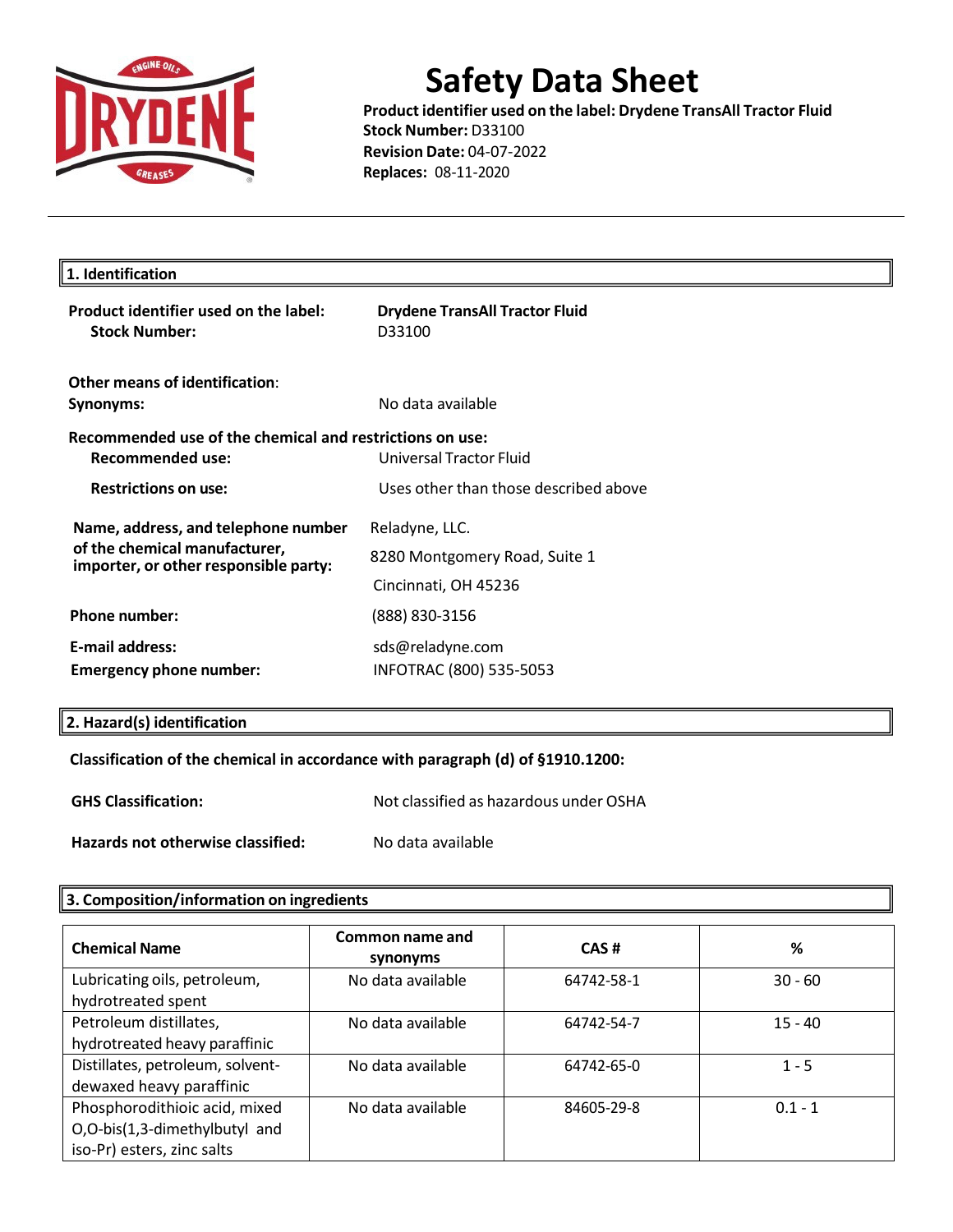

**Product identifier used on the label: Drydene TransAll Tractor Fluid Stock Number:** D33100 **Revision Date:** 04-07-2022 **Replaces:** 08-11-2020

 $\rrbracket$ 

| <b>Drydene TransAll Tractor Fluid</b><br>D33100                                     |  |
|-------------------------------------------------------------------------------------|--|
| No data available                                                                   |  |
| Recommended use of the chemical and restrictions on use:<br>Universal Tractor Fluid |  |
| Uses other than those described above                                               |  |
| Reladyne, LLC.                                                                      |  |
| 8280 Montgomery Road, Suite 1                                                       |  |
| Cincinnati, OH 45236                                                                |  |
| (888) 830-3156                                                                      |  |
| sds@reladyne.com<br>INFOTRAC (800) 535-5053                                         |  |
|                                                                                     |  |

### **2. Hazard(s) identification**

### **Classification of the chemical in accordance with paragraph (d) of §1910.1200:**

**GHS Classification:** Not classified as hazardous under OSHA

**Hazards not otherwise classified:** No data available

### **3. Composition/information on ingredients**

| <b>Chemical Name</b>                                                                         | Common name and<br>synonyms | CAS#       | %         |
|----------------------------------------------------------------------------------------------|-----------------------------|------------|-----------|
| Lubricating oils, petroleum,<br>hydrotreated spent                                           | No data available           | 64742-58-1 | $30 - 60$ |
| Petroleum distillates,<br>hydrotreated heavy paraffinic                                      | No data available           | 64742-54-7 | $15 - 40$ |
| Distillates, petroleum, solvent-<br>dewaxed heavy paraffinic                                 | No data available           | 64742-65-0 | $1 - 5$   |
| Phosphorodithioic acid, mixed<br>O,O-bis(1,3-dimethylbutyl and<br>iso-Pr) esters, zinc salts | No data available           | 84605-29-8 | $0.1 - 1$ |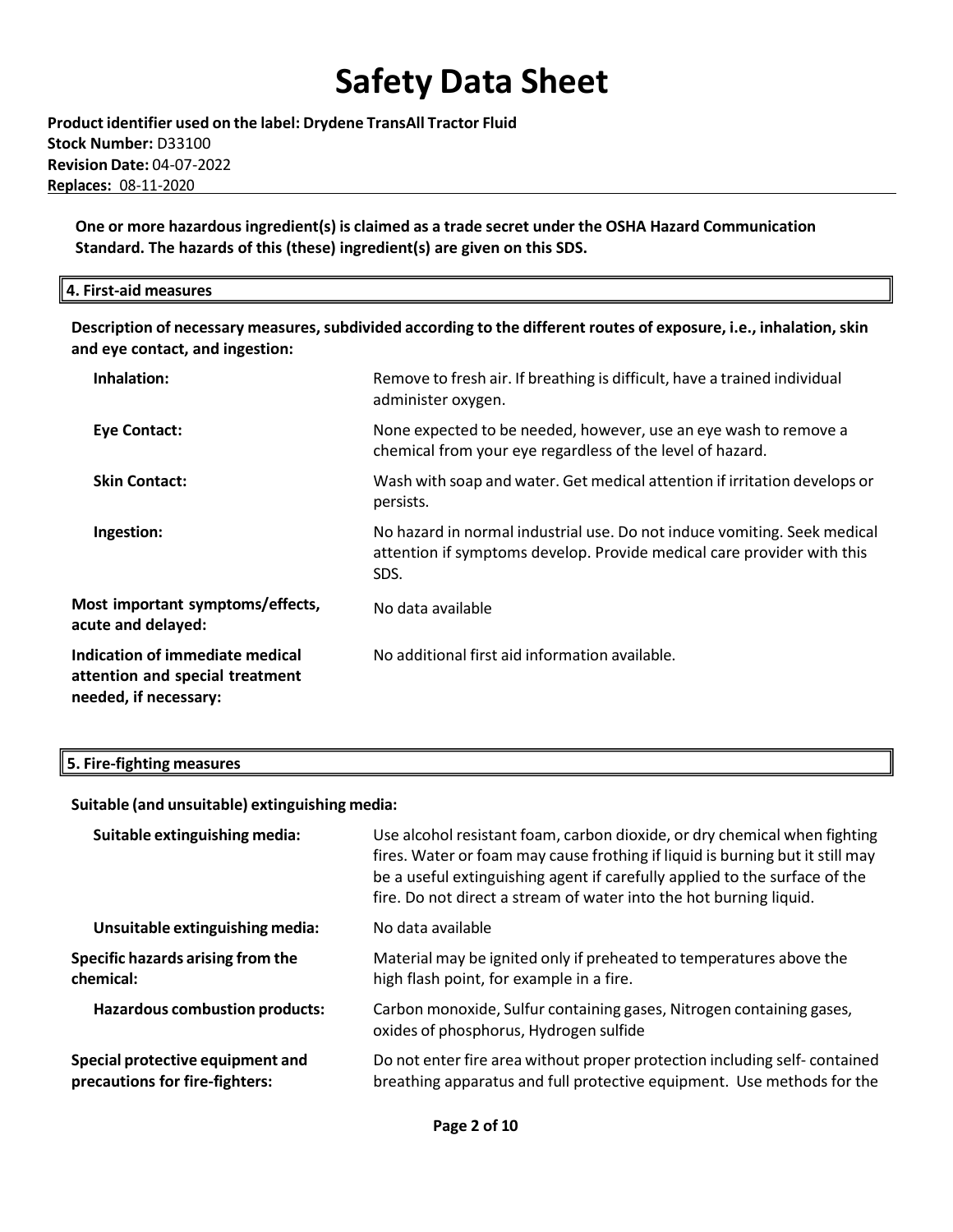**Product identifier used on the label: Drydene TransAll Tractor Fluid Stock Number:** D33100 **Revision Date:** 04-07-2022 **Replaces:** 08-11-2020

**One or more hazardous ingredient(s) is claimed as a trade secret under the OSHA Hazard Communication Standard. The hazards of this (these) ingredient(s) are given on this SDS.**

#### **4. First-aid measures**

**Description of necessary measures,subdivided according to the different routes of exposure, i.e., inhalation,skin and eye contact, and ingestion:**

| Inhalation:                                                                                 | Remove to fresh air. If breathing is difficult, have a trained individual<br>administer oxygen.                                                            |
|---------------------------------------------------------------------------------------------|------------------------------------------------------------------------------------------------------------------------------------------------------------|
| <b>Eye Contact:</b>                                                                         | None expected to be needed, however, use an eye wash to remove a<br>chemical from your eye regardless of the level of hazard.                              |
| <b>Skin Contact:</b>                                                                        | Wash with soap and water. Get medical attention if irritation develops or<br>persists.                                                                     |
| Ingestion:                                                                                  | No hazard in normal industrial use. Do not induce vomiting. Seek medical<br>attention if symptoms develop. Provide medical care provider with this<br>SDS. |
| Most important symptoms/effects,<br>acute and delayed:                                      | No data available                                                                                                                                          |
| Indication of immediate medical<br>attention and special treatment<br>needed, if necessary: | No additional first aid information available.                                                                                                             |

#### **5. Fire-fighting measures**

**Suitable (and unsuitable) extinguishing media:**

| Suitable extinguishing media:                                      | Use alcohol resistant foam, carbon dioxide, or dry chemical when fighting<br>fires. Water or foam may cause frothing if liquid is burning but it still may<br>be a useful extinguishing agent if carefully applied to the surface of the<br>fire. Do not direct a stream of water into the hot burning liquid. |
|--------------------------------------------------------------------|----------------------------------------------------------------------------------------------------------------------------------------------------------------------------------------------------------------------------------------------------------------------------------------------------------------|
| Unsuitable extinguishing media:                                    | No data available                                                                                                                                                                                                                                                                                              |
| Specific hazards arising from the<br>chemical:                     | Material may be ignited only if preheated to temperatures above the<br>high flash point, for example in a fire.                                                                                                                                                                                                |
| <b>Hazardous combustion products:</b>                              | Carbon monoxide, Sulfur containing gases, Nitrogen containing gases,<br>oxides of phosphorus, Hydrogen sulfide                                                                                                                                                                                                 |
| Special protective equipment and<br>precautions for fire-fighters: | Do not enter fire area without proper protection including self-contained<br>breathing apparatus and full protective equipment. Use methods for the                                                                                                                                                            |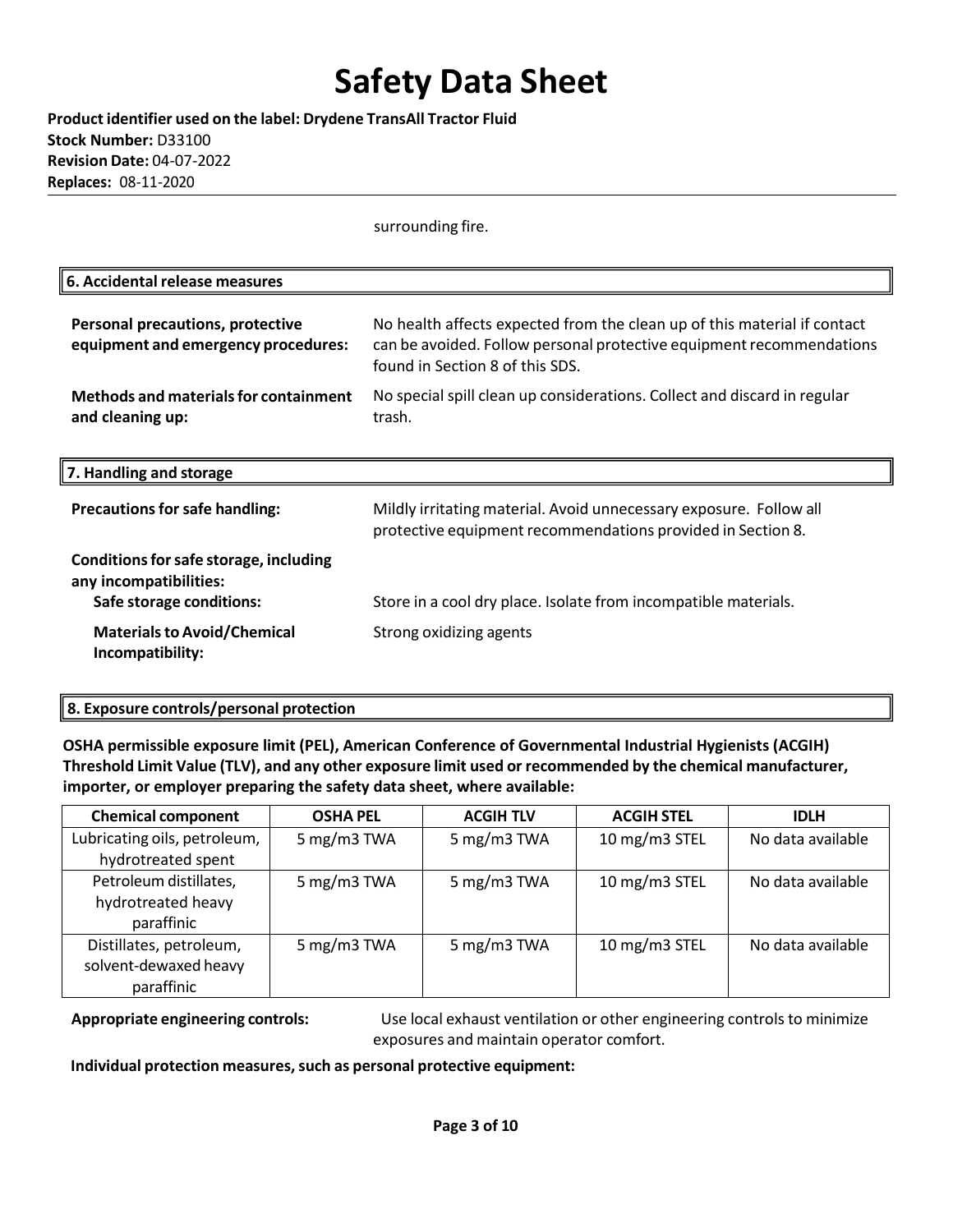**Product identifier used on the label: Drydene TransAll Tractor Fluid Stock Number:** D33100 **Revision Date:** 04-07-2022 **Replaces:** 08-11-2020

surrounding fire.

| 6. Accidental release measures                                                               |                                                                                                                                                                                     |
|----------------------------------------------------------------------------------------------|-------------------------------------------------------------------------------------------------------------------------------------------------------------------------------------|
| <b>Personal precautions, protective</b><br>equipment and emergency procedures:               | No health affects expected from the clean up of this material if contact<br>can be avoided. Follow personal protective equipment recommendations<br>found in Section 8 of this SDS. |
| Methods and materials for containment<br>and cleaning up:                                    | No special spill clean up considerations. Collect and discard in regular<br>trash.                                                                                                  |
| 7. Handling and storage                                                                      |                                                                                                                                                                                     |
| <b>Precautions for safe handling:</b>                                                        | Mildly irritating material. Avoid unnecessary exposure. Follow all<br>protective equipment recommendations provided in Section 8.                                                   |
| Conditions for safe storage, including<br>any incompatibilities:<br>Safe storage conditions: | Store in a cool dry place. Isolate from incompatible materials.                                                                                                                     |
| <b>Materials to Avoid/Chemical</b><br>Incompatibility:                                       | Strong oxidizing agents                                                                                                                                                             |

### **8. Exposure controls/personal protection**

**OSHA permissible exposure limit (PEL), American Conference of Governmental Industrial Hygienists (ACGIH) Threshold Limit Value (TLV), and any other exposure limit used or recommended by the chemical manufacturer, importer, or employer preparing the safety data sheet, where available:**

| <b>Chemical component</b>    | <b>OSHA PEL</b> | <b>ACGIH TLV</b> | <b>ACGIH STEL</b> | <b>IDLH</b>       |
|------------------------------|-----------------|------------------|-------------------|-------------------|
| Lubricating oils, petroleum, | 5 mg/m3 TWA     | 5 mg/m3 TWA      | 10 mg/m3 STEL     | No data available |
| hydrotreated spent           |                 |                  |                   |                   |
| Petroleum distillates,       | 5 mg/m3 TWA     | 5 mg/m3 TWA      | 10 mg/m3 STEL     | No data available |
| hydrotreated heavy           |                 |                  |                   |                   |
| paraffinic                   |                 |                  |                   |                   |
| Distillates, petroleum,      | 5 mg/m3 TWA     | 5 mg/m3 TWA      | 10 mg/m3 STEL     | No data available |
| solvent-dewaxed heavy        |                 |                  |                   |                   |
| paraffinic                   |                 |                  |                   |                   |

**Appropriate engineering controls:** Use local exhaust ventilation or other engineering controls to minimize exposures and maintain operator comfort.

**Individual protection measures,such as personal protective equipment:**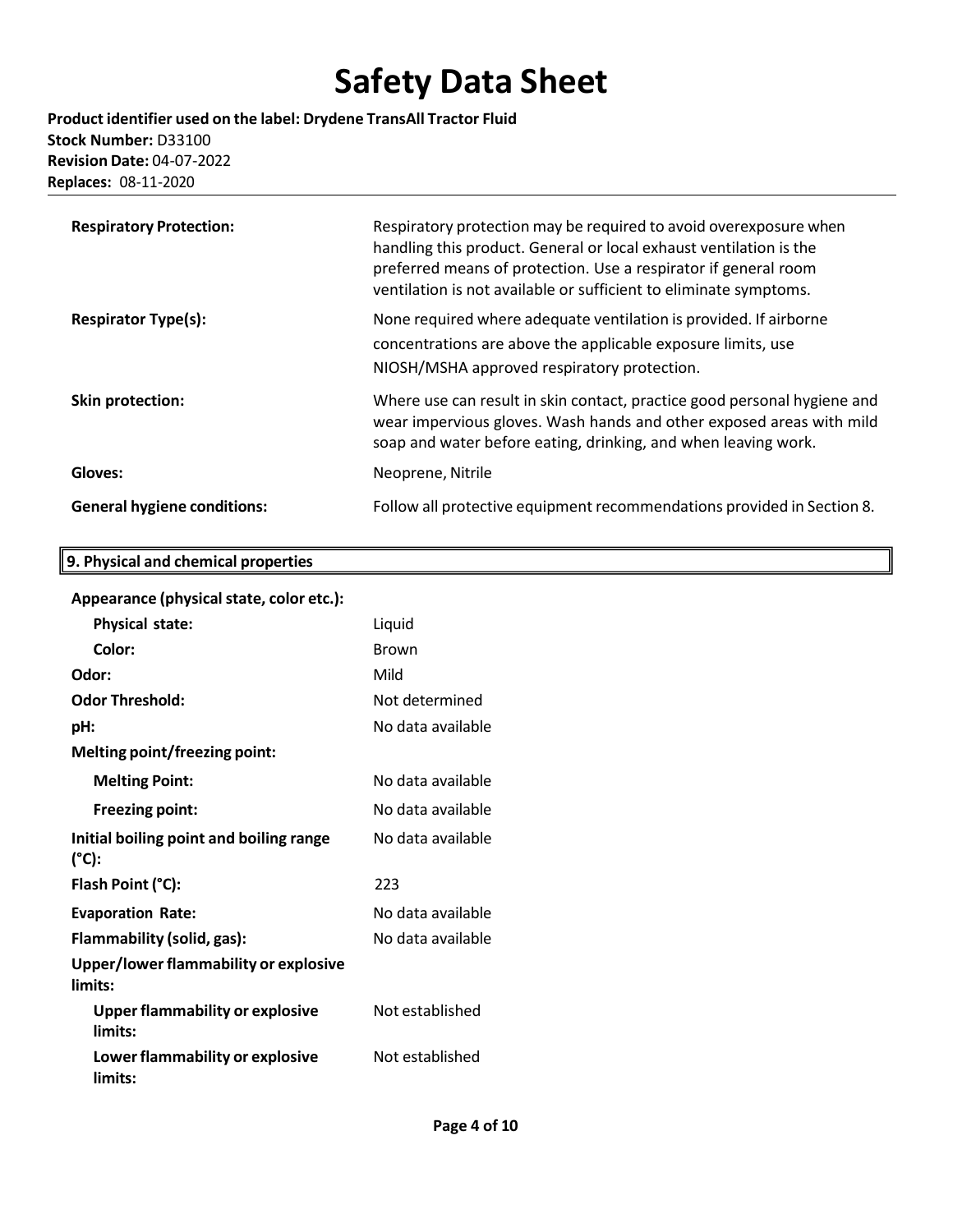**Product identifier used on the label: Drydene TransAll Tractor Fluid Stock Number:** D33100 **Revision Date:** 04-07-2022 **Replaces:** 08-11-2020

| <b>Respiratory Protection:</b>     | Respiratory protection may be required to avoid overexposure when<br>handling this product. General or local exhaust ventilation is the<br>preferred means of protection. Use a respirator if general room<br>ventilation is not available or sufficient to eliminate symptoms. |
|------------------------------------|---------------------------------------------------------------------------------------------------------------------------------------------------------------------------------------------------------------------------------------------------------------------------------|
| <b>Respirator Type(s):</b>         | None required where adequate ventilation is provided. If airborne<br>concentrations are above the applicable exposure limits, use<br>NIOSH/MSHA approved respiratory protection.                                                                                                |
| Skin protection:                   | Where use can result in skin contact, practice good personal hygiene and<br>wear impervious gloves. Wash hands and other exposed areas with mild<br>soap and water before eating, drinking, and when leaving work.                                                              |
| Gloves:                            | Neoprene, Nitrile                                                                                                                                                                                                                                                               |
| <b>General hygiene conditions:</b> | Follow all protective equipment recommendations provided in Section 8.                                                                                                                                                                                                          |

## **9. Physical and chemical properties**

### **Appearance (physicalstate, color etc.):**

| <b>Physical state:</b>                                     | Liquid            |
|------------------------------------------------------------|-------------------|
| Color:                                                     | <b>Brown</b>      |
| Odor:                                                      | Mild              |
| <b>Odor Threshold:</b>                                     | Not determined    |
| pH:                                                        | No data available |
| Melting point/freezing point:                              |                   |
| <b>Melting Point:</b>                                      | No data available |
| <b>Freezing point:</b>                                     | No data available |
| Initial boiling point and boiling range<br>$(^{\circ}C)$ : | No data available |
| Flash Point (°C):                                          | 223               |
| <b>Evaporation Rate:</b>                                   | No data available |
| Flammability (solid, gas):                                 | No data available |
| Upper/lower flammability or explosive<br>limits:           |                   |
| <b>Upper flammability or explosive</b><br>limits:          | Not established   |
| Lower flammability or explosive<br>limits:                 | Not established   |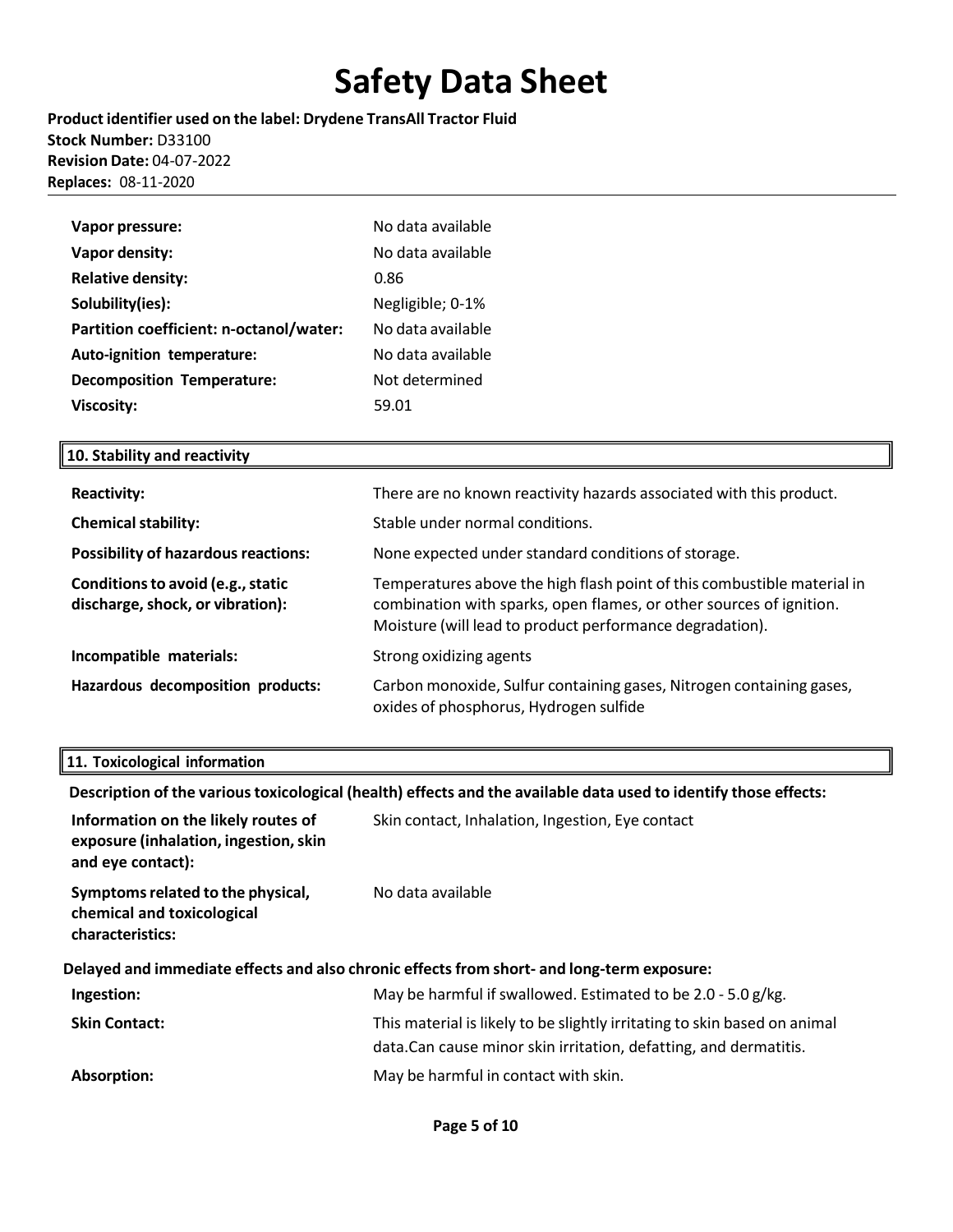**Product identifier used on the label: Drydene TransAll Tractor Fluid Stock Number:** D33100 **Revision Date:** 04-07-2022 **Replaces:** 08-11-2020

| Vapor pressure:                         | No data available |
|-----------------------------------------|-------------------|
| Vapor density:                          | No data available |
| <b>Relative density:</b>                | 0.86              |
| Solubility(ies):                        | Negligible; 0-1%  |
| Partition coefficient: n-octanol/water: | No data available |
| Auto-ignition temperature:              | No data available |
| <b>Decomposition Temperature:</b>       | Not determined    |
| <b>Viscosity:</b>                       | 59.01             |

### **10. Stability and reactivity**

| <b>Reactivity:</b>                                                    | There are no known reactivity hazards associated with this product.                                                                                                                                        |
|-----------------------------------------------------------------------|------------------------------------------------------------------------------------------------------------------------------------------------------------------------------------------------------------|
| <b>Chemical stability:</b>                                            | Stable under normal conditions.                                                                                                                                                                            |
| <b>Possibility of hazardous reactions:</b>                            | None expected under standard conditions of storage.                                                                                                                                                        |
| Conditions to avoid (e.g., static<br>discharge, shock, or vibration): | Temperatures above the high flash point of this combustible material in<br>combination with sparks, open flames, or other sources of ignition.<br>Moisture (will lead to product performance degradation). |
| Incompatible materials:                                               | Strong oxidizing agents                                                                                                                                                                                    |
| Hazardous decomposition products:                                     | Carbon monoxide, Sulfur containing gases, Nitrogen containing gases,<br>oxides of phosphorus, Hydrogen sulfide                                                                                             |

### **11. Toxicological information**

**Description of the varioustoxicological (health) effects and the available data used to identify those effects:**

| Information on the likely routes of<br>exposure (inhalation, ingestion, skin<br>and eye contact): | Skin contact, Inhalation, Ingestion, Eye contact                                                                                               |
|---------------------------------------------------------------------------------------------------|------------------------------------------------------------------------------------------------------------------------------------------------|
| Symptoms related to the physical,<br>chemical and toxicological<br>characteristics:               | No data available                                                                                                                              |
|                                                                                                   | Delayed and immediate effects and also chronic effects from short- and long-term exposure:                                                     |
| Ingestion:                                                                                        | May be harmful if swallowed. Estimated to be 2.0 - 5.0 g/kg.                                                                                   |
| <b>Skin Contact:</b>                                                                              | This material is likely to be slightly irritating to skin based on animal<br>data. Can cause minor skin irritation, defatting, and dermatitis. |
| Absorption:                                                                                       | May be harmful in contact with skin.                                                                                                           |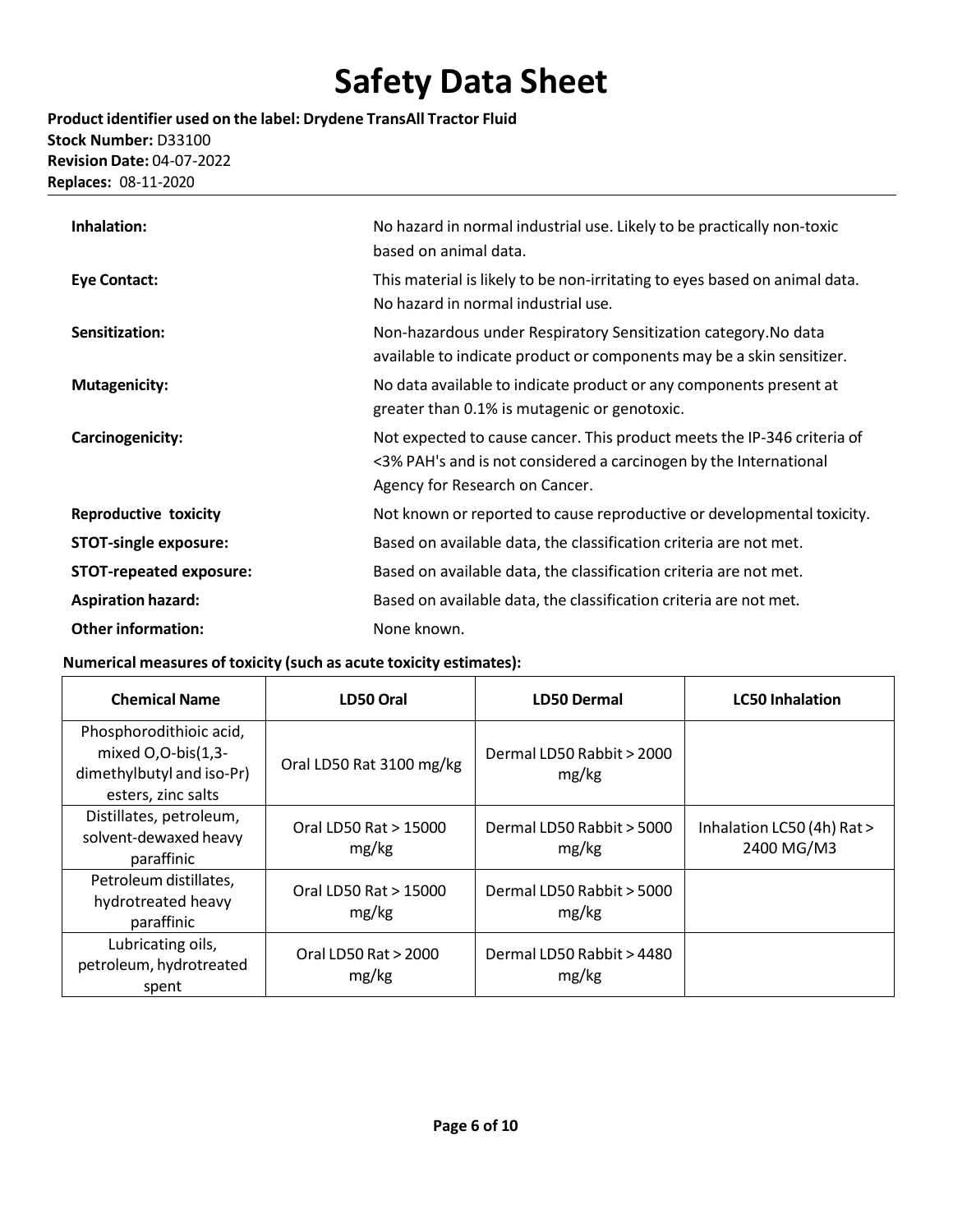**Product identifier used on the label: Drydene TransAll Tractor Fluid Stock Number:** D33100 **Revision Date:** 04-07-2022 **Replaces:** 08-11-2020

| Inhalation:                    | No hazard in normal industrial use. Likely to be practically non-toxic<br>based on animal data.                                                                                |
|--------------------------------|--------------------------------------------------------------------------------------------------------------------------------------------------------------------------------|
| <b>Eye Contact:</b>            | This material is likely to be non-irritating to eyes based on animal data.<br>No hazard in normal industrial use.                                                              |
| Sensitization:                 | Non-hazardous under Respiratory Sensitization category. No data<br>available to indicate product or components may be a skin sensitizer.                                       |
| <b>Mutagenicity:</b>           | No data available to indicate product or any components present at<br>greater than 0.1% is mutagenic or genotoxic.                                                             |
| Carcinogenicity:               | Not expected to cause cancer. This product meets the IP-346 criteria of<br><3% PAH's and is not considered a carcinogen by the International<br>Agency for Research on Cancer. |
| <b>Reproductive toxicity</b>   | Not known or reported to cause reproductive or developmental toxicity.                                                                                                         |
| <b>STOT-single exposure:</b>   | Based on available data, the classification criteria are not met.                                                                                                              |
| <b>STOT-repeated exposure:</b> | Based on available data, the classification criteria are not met.                                                                                                              |
| <b>Aspiration hazard:</b>      | Based on available data, the classification criteria are not met.                                                                                                              |
| <b>Other information:</b>      | None known.                                                                                                                                                                    |

### **Numerical measures of toxicity (such as acute toxicity estimates):**

| <b>Chemical Name</b>                                                                               | LD50 Oral                      | <b>LD50 Dermal</b>                 | <b>LC50 Inhalation</b>                   |  |
|----------------------------------------------------------------------------------------------------|--------------------------------|------------------------------------|------------------------------------------|--|
| Phosphorodithioic acid,<br>mixed $O.O-bis(1,3-$<br>dimethylbutyl and iso-Pr)<br>esters, zinc salts | Oral LD50 Rat 3100 mg/kg       | Dermal LD50 Rabbit > 2000<br>mg/kg |                                          |  |
| Distillates, petroleum,<br>solvent-dewaxed heavy<br>paraffinic                                     | Oral LD50 Rat > 15000<br>mg/kg | Dermal LD50 Rabbit > 5000<br>mg/kg | Inhalation LC50 (4h) Rat ><br>2400 MG/M3 |  |
| Petroleum distillates,<br>hydrotreated heavy<br>paraffinic                                         | Oral LD50 Rat > 15000<br>mg/kg | Dermal LD50 Rabbit > 5000<br>mg/kg |                                          |  |
| Lubricating oils,<br>petroleum, hydrotreated<br>spent                                              | Oral LD50 Rat > 2000<br>mg/kg  | Dermal LD50 Rabbit > 4480<br>mg/kg |                                          |  |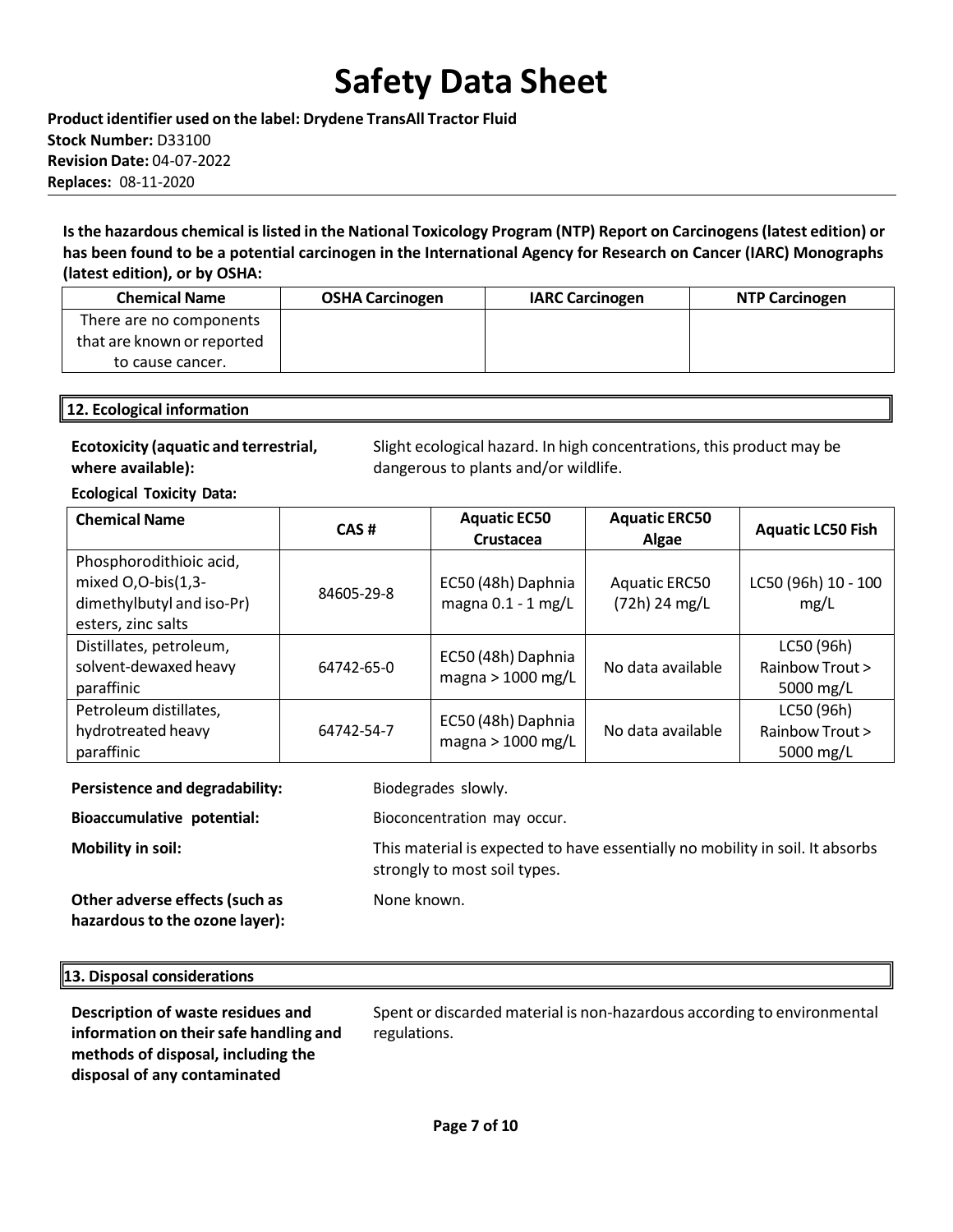**Product identifier used on the label: Drydene TransAll Tractor Fluid Stock Number:** D33100 **Revision Date:** 04-07-2022 **Replaces:** 08-11-2020

**Isthe hazardous chemical islisted in the National Toxicology Program (NTP) Report on Carcinogens(latest edition) or has been found to be a potential carcinogen in the International Agency for Research on Cancer (IARC) Monographs (latest edition), or by OSHA:**

| <b>Chemical Name</b>       | <b>OSHA Carcinogen</b> | <b>IARC Carcinogen</b> | <b>NTP Carcinogen</b> |
|----------------------------|------------------------|------------------------|-----------------------|
| There are no components    |                        |                        |                       |
| that are known or reported |                        |                        |                       |
| to cause cancer.           |                        |                        |                       |

### **12. Ecological information**

### **Ecotoxicity (aquatic and terrestrial, where available):**

Slight ecological hazard. In high concentrations, this product may be dangerous to plants and/or wildlife.

**Ecological Toxicity Data:**

| <b>Chemical Name</b>                                                                             | CAS#       | <b>Aquatic EC50</b><br>Crustacea           | <b>Aquatic ERC50</b><br>Algae         | <b>Aquatic LC50 Fish</b>                   |
|--------------------------------------------------------------------------------------------------|------------|--------------------------------------------|---------------------------------------|--------------------------------------------|
| Phosphorodithioic acid,<br>mixed O,O-bis(1,3-<br>dimethylbutyl and iso-Pr)<br>esters, zinc salts | 84605-29-8 | EC50 (48h) Daphnia<br>magna $0.1 - 1$ mg/L | <b>Aquatic ERC50</b><br>(72h) 24 mg/L | LC50 (96h) 10 - 100<br>mg/L                |
| Distillates, petroleum,<br>solvent-dewaxed heavy<br>paraffinic                                   | 64742-65-0 | EC50 (48h) Daphnia<br>magna > 1000 mg/L    | No data available                     | LC50 (96h)<br>Rainbow Trout ><br>5000 mg/L |
| Petroleum distillates,<br>hydrotreated heavy<br>paraffinic                                       | 64742-54-7 | EC50 (48h) Daphnia<br>magna $> 1000$ mg/L  | No data available                     | LC50 (96h)<br>Rainbow Trout ><br>5000 mg/L |

| Biodegrades slowly.<br><b>Persistence and degradability:</b> |
|--------------------------------------------------------------|
|--------------------------------------------------------------|

**Bioaccumulative potential:** Bioconcentration may occur.

**Mobility in soil:** This material is expected to have essentially no mobility in soil. It absorbs

**Other adverse effects(such as hazardousto the ozone layer):**

### None known.

strongly to most soil types.

### **13. Disposal considerations**

**Description of waste residues and information on theirsafe handling and methods of disposal, including the disposal of any contaminated**

Spent or discarded material is non-hazardous according to environmental regulations.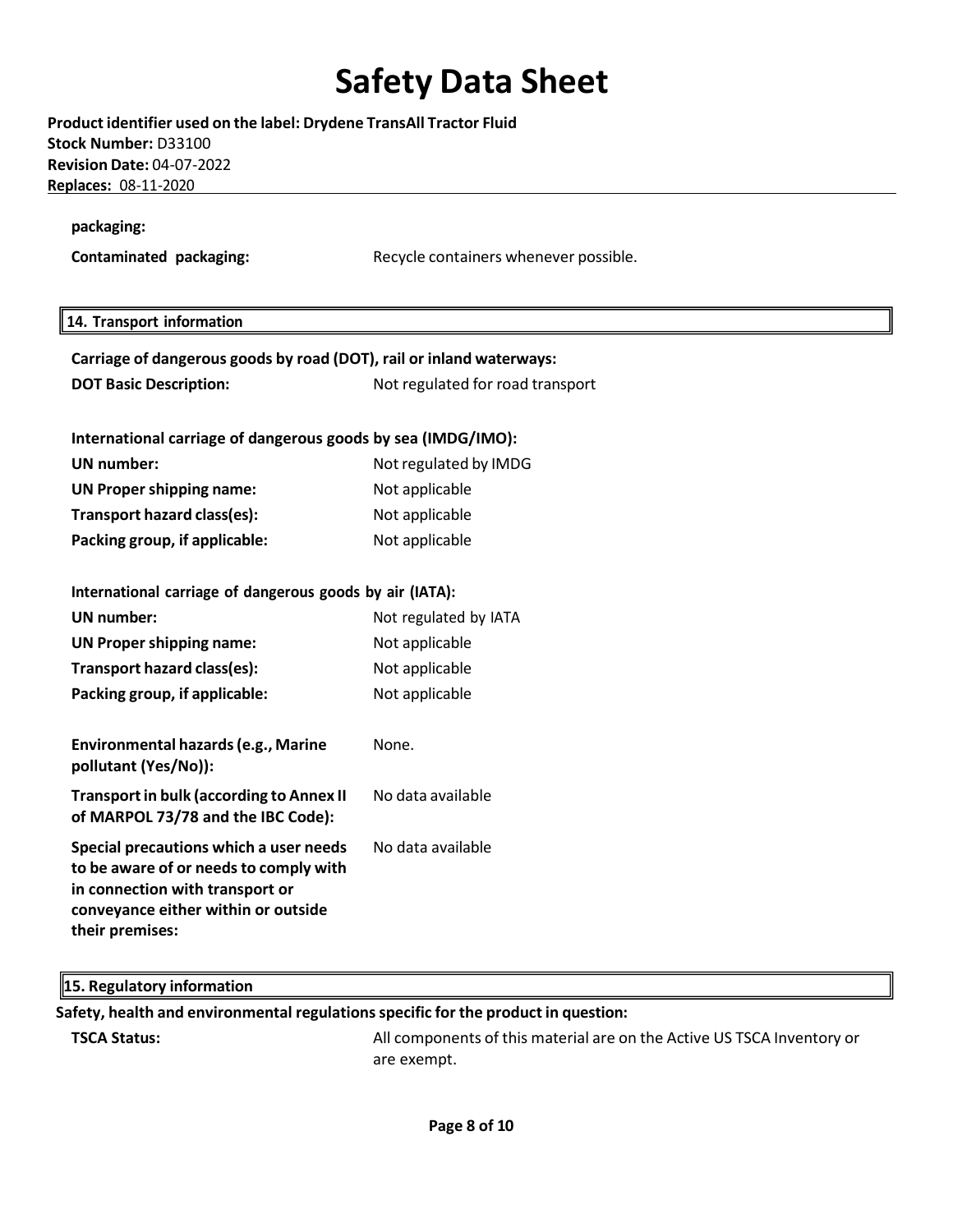**Product identifier used on the label: Drydene TransAll Tractor Fluid Stock Number:** D33100 **Revision Date:** 04-07-2022 **Replaces:** 08-11-2020

**packaging:**

**Contaminated packaging:** Recycle containers whenever possible.

### **14. Transport information**

| Carriage of dangerous goods by road (DOT), rail or inland waterways:                                                                                                          |                                  |  |  |  |
|-------------------------------------------------------------------------------------------------------------------------------------------------------------------------------|----------------------------------|--|--|--|
| <b>DOT Basic Description:</b>                                                                                                                                                 | Not regulated for road transport |  |  |  |
|                                                                                                                                                                               |                                  |  |  |  |
| International carriage of dangerous goods by sea (IMDG/IMO):                                                                                                                  |                                  |  |  |  |
| <b>UN</b> number:                                                                                                                                                             | Not regulated by IMDG            |  |  |  |
| <b>UN Proper shipping name:</b>                                                                                                                                               | Not applicable                   |  |  |  |
| Transport hazard class(es):                                                                                                                                                   | Not applicable                   |  |  |  |
| Packing group, if applicable:                                                                                                                                                 | Not applicable                   |  |  |  |
|                                                                                                                                                                               |                                  |  |  |  |
| International carriage of dangerous goods by air (IATA):                                                                                                                      |                                  |  |  |  |
| <b>UN number:</b>                                                                                                                                                             | Not regulated by IATA            |  |  |  |
| <b>UN Proper shipping name:</b>                                                                                                                                               | Not applicable                   |  |  |  |
| Transport hazard class(es):                                                                                                                                                   | Not applicable                   |  |  |  |
| Packing group, if applicable:                                                                                                                                                 | Not applicable                   |  |  |  |
| <b>Environmental hazards (e.g., Marine</b><br>pollutant (Yes/No)):                                                                                                            | None.                            |  |  |  |
| <b>Transport in bulk (according to Annex II</b><br>of MARPOL 73/78 and the IBC Code):                                                                                         | No data available                |  |  |  |
| Special precautions which a user needs<br>to be aware of or needs to comply with<br>in connection with transport or<br>conveyance either within or outside<br>their premises: | No data available                |  |  |  |

### **15. Regulatory information**

**Safety, health and environmental regulationsspecific for the product in question:**

**TSCA Status:** All components of this material are on the Active US TSCA Inventory or are exempt.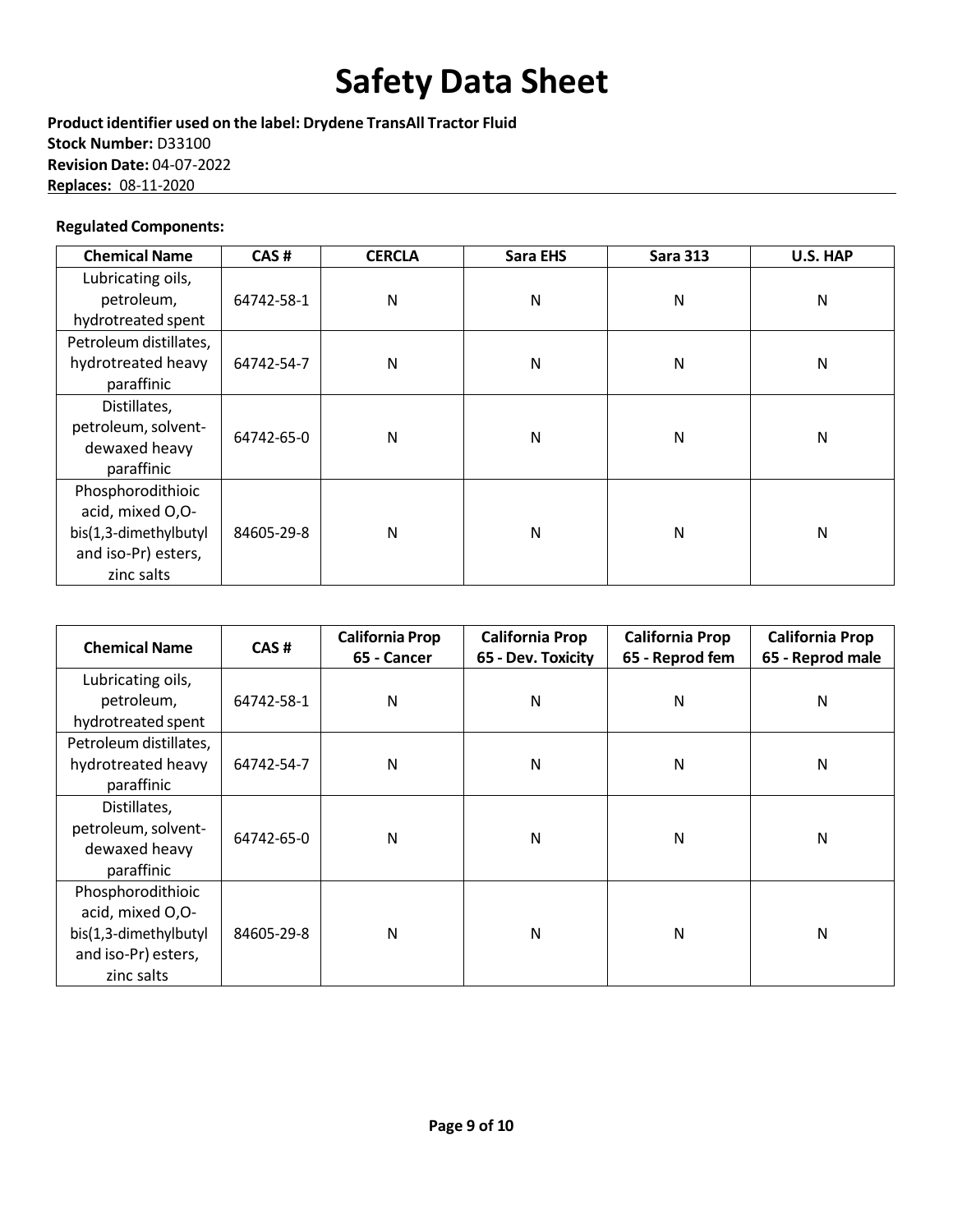**Product identifier used on the label: Drydene TransAll Tractor Fluid Stock Number:** D33100 **Revision Date:** 04-07-2022 **Replaces:** 08-11-2020

### **Regulated Components:**

| <b>Chemical Name</b>   | CAS#       | <b>CERCLA</b> | <b>Sara EHS</b> | <b>Sara 313</b> | <b>U.S. HAP</b> |
|------------------------|------------|---------------|-----------------|-----------------|-----------------|
| Lubricating oils,      |            |               |                 |                 |                 |
| petroleum,             | 64742-58-1 | N             | N               | N               | N               |
| hydrotreated spent     |            |               |                 |                 |                 |
| Petroleum distillates, |            |               |                 |                 |                 |
| hydrotreated heavy     | 64742-54-7 | $\mathsf{N}$  | N               | N               | N               |
| paraffinic             |            |               |                 |                 |                 |
| Distillates,           |            |               |                 |                 |                 |
| petroleum, solvent-    | 64742-65-0 |               | N               | N               |                 |
| dewaxed heavy          |            | $\mathsf{N}$  |                 |                 | N               |
| paraffinic             |            |               |                 |                 |                 |
| Phosphorodithioic      |            |               |                 |                 |                 |
| acid, mixed O,O-       |            |               |                 |                 |                 |
| bis(1,3-dimethylbutyl  | 84605-29-8 | N             | N               | N               | N               |
| and iso-Pr) esters,    |            |               |                 |                 |                 |
| zinc salts             |            |               |                 |                 |                 |

| <b>Chemical Name</b>   | CAS#       | <b>California Prop</b><br>65 - Cancer | <b>California Prop</b><br>65 - Dev. Toxicity | <b>California Prop</b><br>65 - Reprod fem | <b>California Prop</b><br>65 - Reprod male |
|------------------------|------------|---------------------------------------|----------------------------------------------|-------------------------------------------|--------------------------------------------|
| Lubricating oils,      |            |                                       |                                              |                                           |                                            |
| petroleum,             | 64742-58-1 | N                                     | N                                            | N                                         | N                                          |
| hydrotreated spent     |            |                                       |                                              |                                           |                                            |
| Petroleum distillates, |            |                                       |                                              |                                           |                                            |
| hydrotreated heavy     | 64742-54-7 | N                                     | N                                            | N                                         | Ν                                          |
| paraffinic             |            |                                       |                                              |                                           |                                            |
| Distillates,           |            |                                       |                                              |                                           |                                            |
| petroleum, solvent-    | 64742-65-0 | N                                     | N                                            | N                                         | Ν                                          |
| dewaxed heavy          |            |                                       |                                              |                                           |                                            |
| paraffinic             |            |                                       |                                              |                                           |                                            |
| Phosphorodithioic      |            |                                       |                                              |                                           |                                            |
| acid, mixed O,O-       |            |                                       |                                              |                                           |                                            |
| bis(1,3-dimethylbutyl  | 84605-29-8 | N                                     | Ν                                            | N                                         | Ν                                          |
| and iso-Pr) esters,    |            |                                       |                                              |                                           |                                            |
| zinc salts             |            |                                       |                                              |                                           |                                            |